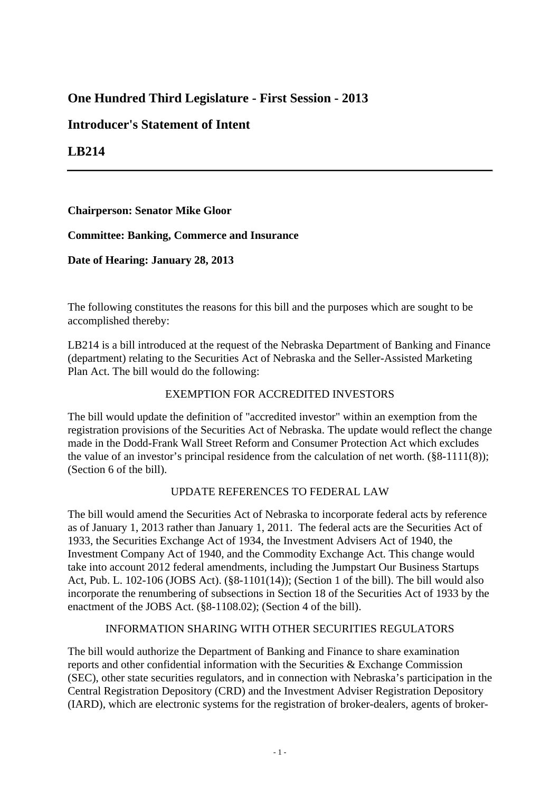# **One Hundred Third Legislature - First Session - 2013**

## **Introducer's Statement of Intent**

## **LB214**

## **Chairperson: Senator Mike Gloor**

## **Committee: Banking, Commerce and Insurance**

## **Date of Hearing: January 28, 2013**

The following constitutes the reasons for this bill and the purposes which are sought to be accomplished thereby:

LB214 is a bill introduced at the request of the Nebraska Department of Banking and Finance (department) relating to the Securities Act of Nebraska and the Seller-Assisted Marketing Plan Act. The bill would do the following:

## EXEMPTION FOR ACCREDITED INVESTORS

The bill would update the definition of "accredited investor" within an exemption from the registration provisions of the Securities Act of Nebraska. The update would reflect the change made in the Dodd-Frank Wall Street Reform and Consumer Protection Act which excludes the value of an investor's principal residence from the calculation of net worth.  $(\S 8$ -1111(8)); (Section 6 of the bill).

#### UPDATE REFERENCES TO FEDERAL LAW

The bill would amend the Securities Act of Nebraska to incorporate federal acts by reference as of January 1, 2013 rather than January 1, 2011. The federal acts are the Securities Act of 1933, the Securities Exchange Act of 1934, the Investment Advisers Act of 1940, the Investment Company Act of 1940, and the Commodity Exchange Act. This change would take into account 2012 federal amendments, including the Jumpstart Our Business Startups Act, Pub. L. 102-106 (JOBS Act). (§8-1101(14)); (Section 1 of the bill). The bill would also incorporate the renumbering of subsections in Section 18 of the Securities Act of 1933 by the enactment of the JOBS Act. (§8-1108.02); (Section 4 of the bill).

## INFORMATION SHARING WITH OTHER SECURITIES REGULATORS

The bill would authorize the Department of Banking and Finance to share examination reports and other confidential information with the Securities & Exchange Commission (SEC), other state securities regulators, and in connection with Nebraska's participation in the Central Registration Depository (CRD) and the Investment Adviser Registration Depository (IARD), which are electronic systems for the registration of broker-dealers, agents of broker